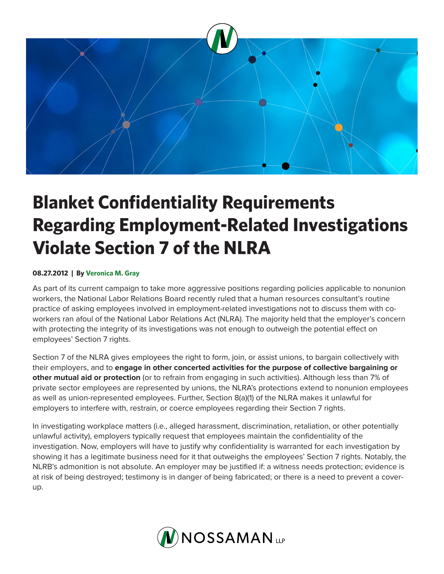

## **Blanket Confidentiality Requirements Regarding Employment-Related Investigations Violate Section 7 of the NLRA**

## **08.27.2012 | By Veronica M. Gray**

As part of its current campaign to take more aggressive positions regarding policies applicable to nonunion workers, the National Labor Relations Board recently ruled that a human resources consultant's routine practice of asking employees involved in employment-related investigations not to discuss them with coworkers ran afoul of the National Labor Relations Act (NLRA). The majority held that the employer's concern with protecting the integrity of its investigations was not enough to outweigh the potential effect on employees' Section 7 rights.

Section 7 of the NLRA gives employees the right to form, join, or assist unions, to bargain collectively with their employers, and to **engage in other concerted activities for the purpose of collective bargaining or other mutual aid or protection** (or to refrain from engaging in such activities). Although less than 7% of private sector employees are represented by unions, the NLRA's protections extend to nonunion employees as well as union-represented employees. Further, Section 8(a)(1) of the NLRA makes it unlawful for employers to interfere with, restrain, or coerce employees regarding their Section 7 rights.

In investigating workplace matters (i.e., alleged harassment, discrimination, retaliation, or other potentially unlawful activity), employers typically request that employees maintain the confidentiality of the investigation. Now, employers will have to justify why confidentiality is warranted for each investigation by showing it has a legitimate business need for it that outweighs the employees' Section 7 rights. Notably, the NLRB's admonition is not absolute. An employer may be justified if: a witness needs protection; evidence is at risk of being destroyed; testimony is in danger of being fabricated; or there is a need to prevent a coverup.